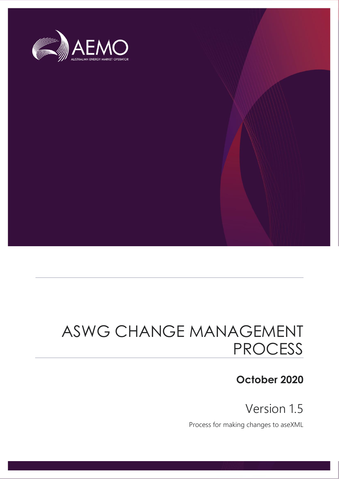

# ASWG CHANGE MANAGEMENT PROCESS

## **October 2020**

Version 1.5

Process for making changes to aseXML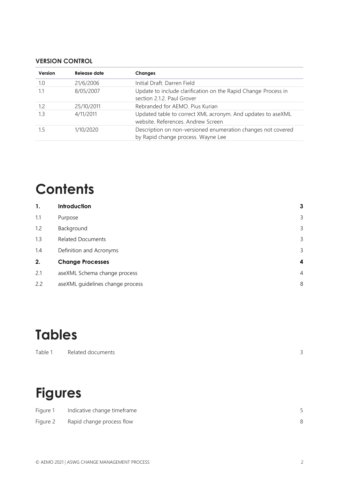#### **VERSION CONTROL**

| Version | Release date | <b>Changes</b>                                                                                     |
|---------|--------------|----------------------------------------------------------------------------------------------------|
| 1.0     | 21/6/2006    | Initial Draft, Darren Field                                                                        |
| 1.1     | 8/05/2007    | Update to include clarification on the Rapid Change Process in<br>section 2.1.2. Paul Grover       |
| 1.2     | 25/10/2011   | Rebranded for AEMO. Pius Kurian                                                                    |
| 1.3     | 4/11/2011    | Updated table to correct XML acronym. And updates to aseXML<br>website. References. Andrew Screen  |
| 1.5     | 1/10/2020    | Description on non-versioned enumeration changes not covered<br>by Rapid change process. Wayne Lee |

# **Contents**

| 1.  | Introduction                     | 3              |
|-----|----------------------------------|----------------|
| 1.1 | Purpose                          | 3              |
| 1.2 | Background                       | 3              |
| 1.3 | <b>Related Documents</b>         | 3              |
| 1.4 | Definition and Acronyms          | 3              |
| 2.  | <b>Change Processes</b>          | 4              |
| 2.1 | aseXML Schema change process     | $\overline{4}$ |
| 2.2 | aseXML guidelines change process | 8              |

# **Tables**

# **Figures**

| Figure 1 | Indicative change timeframe |  |
|----------|-----------------------------|--|
| Figure 2 | Rapid change process flow   |  |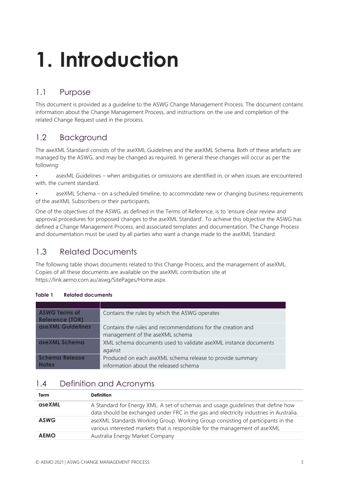# <span id="page-2-0"></span>**1. Introduction**

## <span id="page-2-1"></span>1.1 Purpose

This document is provided as a guideline to the ASWG Change Management Process. The document contains information about the Change Management Process, and instructions on the use and completion of the related Change Request used in the process.

## <span id="page-2-2"></span>1.2 Background

The axeXML Standard consists of the aseXML Guidelines and the aseXML Schema. Both of these artefacts are managed by the ASWG, and may be changed as required. In general these changes will occur as per the following:

- asexML Guidelines when ambiguities or omissions are identified in, or when issues are encountered with, the current standard.
- aseXML Schema on a scheduled timeline, to accommodate new or changing business requirements of the aseXML Subscribers or their participants.

One of the objectives of the ASWG, as defined in the Terms of Reference, is to 'ensure clear review and approval procedures for proposed changes to the aseXML Standard'. To achieve this objective the ASWG has defined a Change Management Process, and associated templates and documentation. The Change Process and documentation must be used by all parties who want a change made to the aseXML Standard.

## <span id="page-2-3"></span>1.3 Related Documents

The following table shows documents related to this Change Process, and the management of aseXML. Copies of all these documents are available on the aseXML contribution site at https://link.aemo.com.au/aswg/SitePages/Home.aspx.

| <b>ASWG Terms of</b><br><b>Reference (TOR)</b> | Contains the rules by which the ASWG operates                                                      |
|------------------------------------------------|----------------------------------------------------------------------------------------------------|
| <b>aseXML Guidelines</b>                       | Contains the rules and recommendations for the creation and<br>management of the aseXML schema     |
| aseXML Schema                                  | XML schema documents used to validate aseXML instance documents<br>against                         |
| <b>Schema Release</b><br><b>Notes</b>          | Produced on each aseXML schema release to provide summary<br>information about the released schema |

#### <span id="page-2-5"></span>**Table 1 Related documents**

### <span id="page-2-4"></span>1.4 Definition and Acronyms

| Term        | <b>Definition</b>                                                                                                                                                          |
|-------------|----------------------------------------------------------------------------------------------------------------------------------------------------------------------------|
| aseXML      | A Standard for Energy XML. A set of schemas and usage guidelines that define how<br>data should be exchanged under FRC in the gas and electricity industries in Australia. |
| <b>ASWG</b> | aseXML Standards Working Group. Working Group consisting of participants in the<br>various interested markets that is responsible for the management of aseXML             |
| <b>AEMO</b> | Australia Energy Market Company                                                                                                                                            |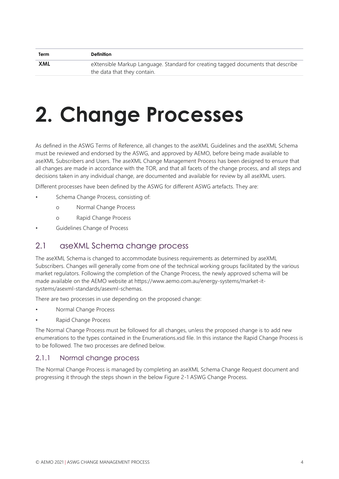| eXtensible Markup Language. Standard for creating tagged documents that describe |
|----------------------------------------------------------------------------------|
|                                                                                  |

# <span id="page-3-0"></span>**2. Change Processes**

As defined in the ASWG Terms of Reference, all changes to the aseXML Guidelines and the aseXML Schema must be reviewed and endorsed by the ASWG, and approved by AEMO, before being made available to aseXML Subscribers and Users. The aseXML Change Management Process has been designed to ensure that all changes are made in accordance with the TOR, and that all facets of the change process, and all steps and decisions taken in any individual change, are documented and available for review by all aseXML users.

Different processes have been defined by the ASWG for different ASWG artefacts. They are:

- Schema Change Process, consisting of:
	- o Normal Change Process
	- o Rapid Change Process
- <span id="page-3-1"></span>• Guidelines Change of Process

#### 2.1 aseXML Schema change process

The aseXML Schema is changed to accommodate business requirements as determined by aseXML Subscribers. Changes will generally come from one of the technical working groups facilitated by the various market regulators. Following the completion of the Change Process, the newly approved schema will be made available on the AEMO website at https://www.aemo.com.au/energy-systems/market-itsystems/asexml-standards/asexml-schemas.

There are two processes in use depending on the proposed change:

- Normal Change Process
- Rapid Change Process

The Normal Change Process must be followed for all changes, unless the proposed change is to add new enumerations to the types contained in the Enumerations.xsd file. In this instance the Rapid Change Process is to be followed. The two processes are defined below.

#### 2.1.1 Normal change process

The Normal Change Process is managed by completing an aseXML Schema Change Request document and progressing it through the steps shown in the below Figure 2-1 ASWG Change Process.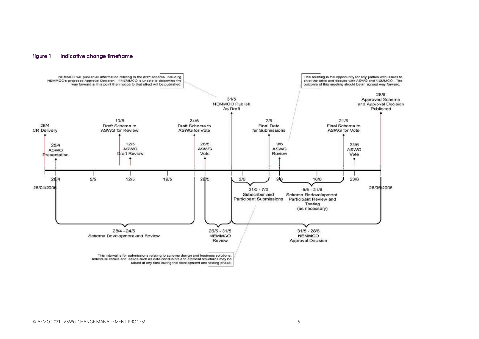#### **Figure 1 Indicative change timeframe**



<span id="page-4-0"></span>raised at any time during the development and testing phase.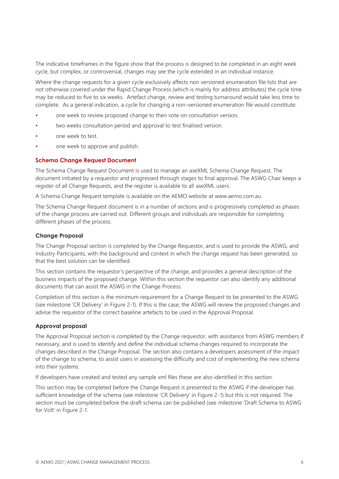The indicative timeframes in the figure show that the process is designed to be completed in an eight week cycle, but complex, or controversial, changes may see the cycle extended in an individual instance.

Where the change requests for a given cycle exclusively affects non versioned enumeration file lists that are not otherwise covered under the Rapid Change Process (which is mainly for address attributes) the cycle time may be reduced to five to six weeks. Artefact change, review and testing turnaround would take less time to complete. As a general indication, a cycle for changing a non-versioned enumeration file would constitute:

- one week to review proposed change to then vote on consultation version.
- two weeks consultation period and approval to test finalised version.
- one week to test.
- one week to approve and publish.

#### **Schema Change Request Document**

The Schema Change Request Document is used to manage an aseXML Schema Change Request. The document initiated by a requestor and progressed through stages to final approval. The ASWG Chair keeps a register of all Change Requests, and the register is available to all aseXML users.

A Schema Change Request template is available on the AEMO website at www.aemo.com.au.

The Schema Change Request document is in a number of sections and is progressively completed as phases of the change process are carried out. Different groups and individuals are responsible for completing different phases of the process.

#### **Change Proposal**

The Change Proposal section is completed by the Change Requestor, and is used to provide the ASWG, and Industry Participants, with the background and context in which the change request has been generated, so that the best solution can be identified.

This section contains the requestor's perspective of the change, and provides a general description of the business impacts of the proposed change. Within this section the requestor can also identify any additional documents that can assist the ASWG in the Change Process.

Completion of this section is the minimum requirement for a Change Request to be presented to the ASWG (see milestone 'CR Delivery' in Figure 2-1). If this is the case, the ASWG will review the proposed changes and advise the requestor of the correct baseline artefacts to be used in the Approval Proposal.

#### **Approval proposal**

The Approval Proposal section is completed by the Change requestor, with assistance from ASWG members if necessary, and is used to identify and define the individual schema changes required to incorporate the changes described in the Change Proposal. The section also contains a developers assessment of the impact of the change to schema, to assist users in assessing the difficulty and cost of implementing the new schema into their systems.

If developers have created and tested any sample xml files these are also identified in this section.

This section may be completed before the Change Request is presented to the ASWG if the developer has sufficient knowledge of the schema (see milestone 'CR Delivery' in Figure 2-1) but this is not required. The section must be completed before the draft schema can be published (see milestone 'Draft Schema to ASWG for Volt' in Figure 2-1.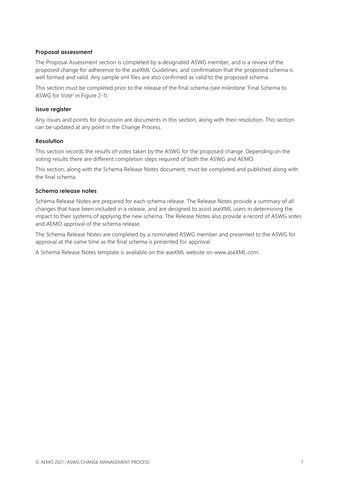#### **Proposal assessment**

The Proposal Assessment section is completed by a designated ASWG member, and is a review of the proposed change for adherence to the aseXML Guidelines, and confirmation that the proposed schema is well formed and valid. Any sample xml files are also confirmed as valid to the proposed schema.

This section must be completed prior to the release of the final schema (see milestone 'Final Schema to ASWG for Vote' in Figure 2-1).

#### **Issue register**

Any issues and points for discussion are documents in this section, along with their resolution. This section can be updated at any point in the Change Process.

#### **Resolution**

This section records the results of votes taken by the ASWG for the proposed change. Depending on the voting results there are different completion steps required of both the ASWG and AEMO.

This section, along with the Schema Release Notes document, must be completed and published along with the final schema.

#### **Schema release notes**

Schema Release Notes are prepared for each schema release. The Release Notes provide a summary of all changes that have been included in a release, and are designed to assist aseXML users in determining the impact to their systems of applying the new schema. The Release Notes also provide a record of ASWG votes and AEMO approval of the schema release.

The Schema Release Notes are completed by a nominated ASWG member and presented to the ASWG for approval at the same time as the final schema is presented for approval.

A Schema Release Notes template is available on the aseXML website on www.aseXML.com.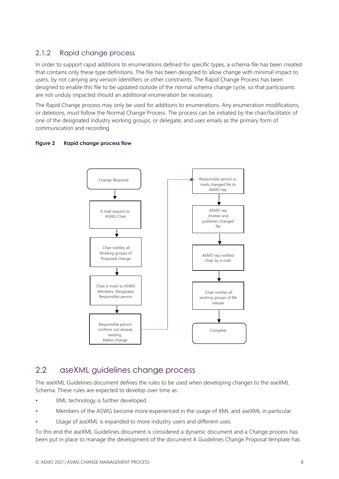#### 2.1.2 Rapid change process

In order to support rapid additions to enumerations defined for specific types, a schema file has been created that contains only these type definitions. The file has been designed to allow change with minimal impact to users, by not carrying any version identifiers or other constraints. The Rapid Change Process has been designed to enable this file to be updated outside of the normal schema change cycle, so that participants are not unduly impacted should an additional enumeration be necessary.

The Rapid Change process may only be used for additions to enumerations. Any enumeration modifications, or deletions, must follow the Normal Change Process. The process can be initiated by the chair/facilitator of one of the designated industry working groups, or delegate, and uses emails as the primary form of communication and recording.

#### <span id="page-7-1"></span>**Figure 2 Rapid change process flow**



### <span id="page-7-0"></span>2.2 aseXML quidelines change process

The aseXML Guidelines document defines the rules to be used when developing changes to the aseXML Schema. These rules are expected to develop over time as:

- XML technology is further developed
- Members of the ASWG become more experienced in the usage of XML and aseXML in particular
- Usage of aseXML is expanded to more industry users and different uses.

To this end the aseXML Guidelines document is considered a dynamic document and a Change process has been put in place to manage the development of the document A Guidelines Change Proposal template has